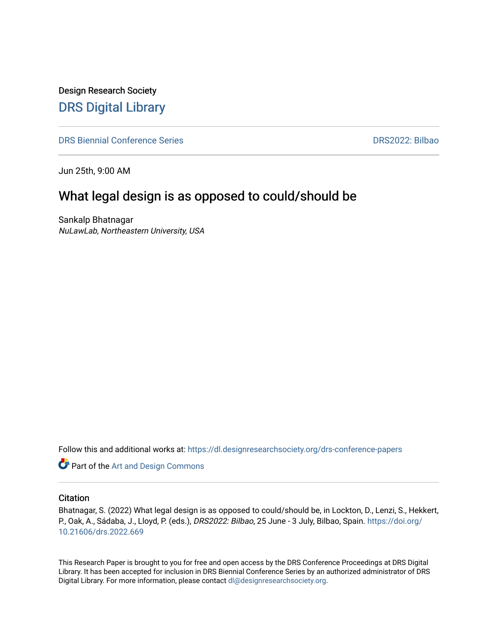Design Research Society [DRS Digital Library](https://dl.designresearchsociety.org/)

[DRS Biennial Conference Series](https://dl.designresearchsociety.org/drs-conference-papers) [DRS2022: Bilbao](https://dl.designresearchsociety.org/drs-conference-papers/drs2022) 

Jun 25th, 9:00 AM

### What legal design is as opposed to could/should be

Sankalp Bhatnagar NuLawLab, Northeastern University, USA

Follow this and additional works at: [https://dl.designresearchsociety.org/drs-conference-papers](https://dl.designresearchsociety.org/drs-conference-papers?utm_source=dl.designresearchsociety.org%2Fdrs-conference-papers%2Fdrs2022%2Fresearchpapers%2F239&utm_medium=PDF&utm_campaign=PDFCoverPages) 

**Part of the [Art and Design Commons](https://network.bepress.com/hgg/discipline/1049?utm_source=dl.designresearchsociety.org%2Fdrs-conference-papers%2Fdrs2022%2Fresearchpapers%2F239&utm_medium=PDF&utm_campaign=PDFCoverPages)** 

#### **Citation**

Bhatnagar, S. (2022) What legal design is as opposed to could/should be, in Lockton, D., Lenzi, S., Hekkert, P., Oak, A., Sádaba, J., Lloyd, P. (eds.), DRS2022: Bilbao, 25 June - 3 July, Bilbao, Spain. [https://doi.org/](https://doi.org/10.21606/drs.2022.669) [10.21606/drs.2022.669](https://doi.org/10.21606/drs.2022.669) 

This Research Paper is brought to you for free and open access by the DRS Conference Proceedings at DRS Digital Library. It has been accepted for inclusion in DRS Biennial Conference Series by an authorized administrator of DRS Digital Library. For more information, please contact [dl@designresearchsociety.org](mailto:dl@designresearchsociety.org).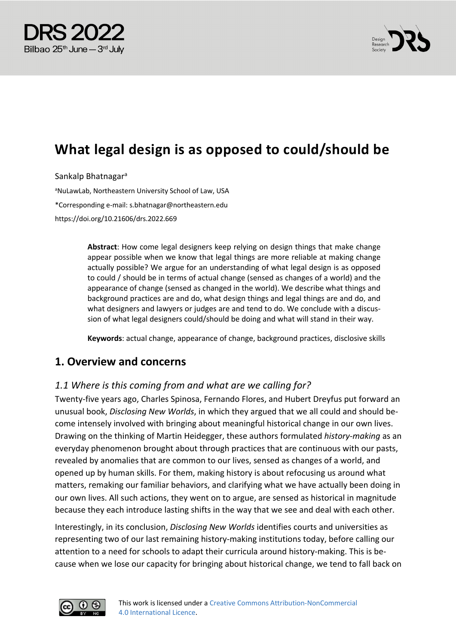



# **What legal design is as opposed to could/should be**

Sankalp Bhatnagara

<sup>a</sup>NuLawLab, Northeastern University School of Law, USA \*Corresponding e-mail: s.bhatnagar@northeastern.edu https://doi.org/10.21606/drs.2022.669

> **Abstract**: How come legal designers keep relying on design things that make change appear possible when we know that legal things are more reliable at making change actually possible? We argue for an understanding of what legal design is as opposed to could / should be in terms of actual change (sensed as changes of a world) and the appearance of change (sensed as changed in the world). We describe what things and background practices are and do, what design things and legal things are and do, and what designers and lawyers or judges are and tend to do. We conclude with a discussion of what legal designers could/should be doing and what will stand in their way.

**Keywords**: actual change, appearance of change, background practices, disclosive skills

#### **1. Overview and concerns**

#### *1.1 Where is this coming from and what are we calling for?*

Twenty-five years ago, Charles Spinosa, Fernando Flores, and Hubert Dreyfus put forward an unusual book, *Disclosing New Worlds*, in which they argued that we all could and should become intensely involved with bringing about meaningful historical change in our own lives. Drawing on the thinking of Martin Heidegger, these authors formulated *history-making* as an everyday phenomenon brought about through practices that are continuous with our pasts, revealed by anomalies that are common to our lives, sensed as changes of a world, and opened up by human skills. For them, making history is about refocusing us around what matters, remaking our familiar behaviors, and clarifying what we have actually been doing in our own lives. All such actions, they went on to argue, are sensed as historical in magnitude because they each introduce lasting shifts in the way that we see and deal with each other.

Interestingly, in its conclusion, *Disclosing New Worlds* identifies courts and universities as representing two of our last remaining history-making institutions today, before calling our attention to a need for schools to adapt their curricula around history-making. This is because when we lose our capacity for bringing about historical change, we tend to fall back on

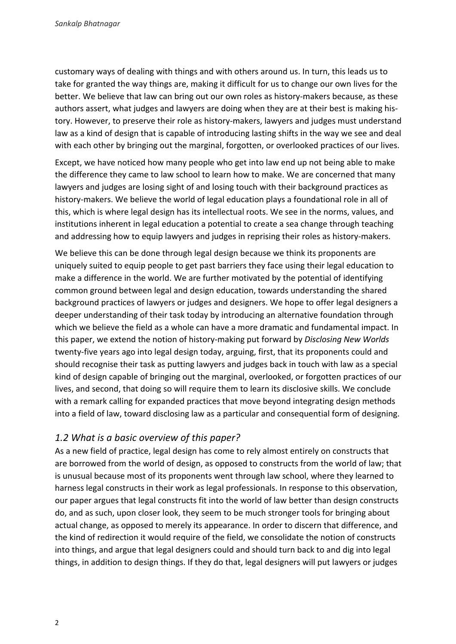customary ways of dealing with things and with others around us. In turn, this leads us to take for granted the way things are, making it difficult for us to change our own lives for the better. We believe that law can bring out our own roles as history-makers because, as these authors assert, what judges and lawyers are doing when they are at their best is making history. However, to preserve their role as history-makers, lawyers and judges must understand law as a kind of design that is capable of introducing lasting shifts in the way we see and deal with each other by bringing out the marginal, forgotten, or overlooked practices of our lives.

Except, we have noticed how many people who get into law end up not being able to make the difference they came to law school to learn how to make. We are concerned that many lawyers and judges are losing sight of and losing touch with their background practices as history-makers. We believe the world of legal education plays a foundational role in all of this, which is where legal design has its intellectual roots. We see in the norms, values, and institutions inherent in legal education a potential to create a sea change through teaching and addressing how to equip lawyers and judges in reprising their roles as history-makers.

We believe this can be done through legal design because we think its proponents are uniquely suited to equip people to get past barriers they face using their legal education to make a difference in the world. We are further motivated by the potential of identifying common ground between legal and design education, towards understanding the shared background practices of lawyers or judges and designers. We hope to offer legal designers a deeper understanding of their task today by introducing an alternative foundation through which we believe the field as a whole can have a more dramatic and fundamental impact. In this paper, we extend the notion of history-making put forward by *Disclosing New Worlds* twenty-five years ago into legal design today, arguing, first, that its proponents could and should recognise their task as putting lawyers and judges back in touch with law as a special kind of design capable of bringing out the marginal, overlooked, or forgotten practices of our lives, and second, that doing so will require them to learn its disclosive skills. We conclude with a remark calling for expanded practices that move beyond integrating design methods into a field of law, toward disclosing law as a particular and consequential form of designing.

#### *1.2 What is a basic overview of this paper?*

As a new field of practice, legal design has come to rely almost entirely on constructs that are borrowed from the world of design, as opposed to constructs from the world of law; that is unusual because most of its proponents went through law school, where they learned to harness legal constructs in their work as legal professionals. In response to this observation, our paper argues that legal constructs fit into the world of law better than design constructs do, and as such, upon closer look, they seem to be much stronger tools for bringing about actual change, as opposed to merely its appearance. In order to discern that difference, and the kind of redirection it would require of the field, we consolidate the notion of constructs into things, and argue that legal designers could and should turn back to and dig into legal things, in addition to design things. If they do that, legal designers will put lawyers or judges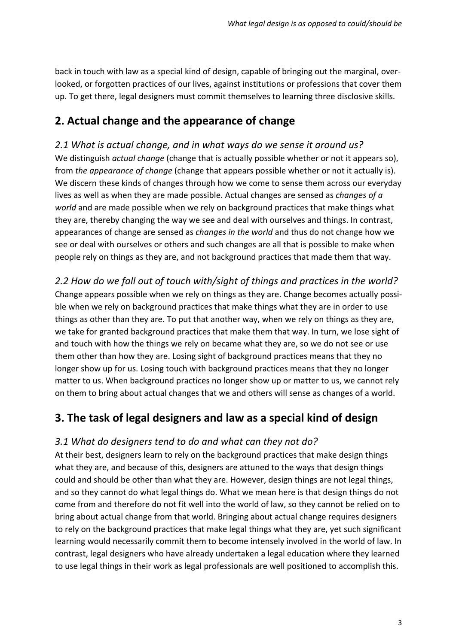back in touch with law as a special kind of design, capable of bringing out the marginal, overlooked, or forgotten practices of our lives, against institutions or professions that cover them up. To get there, legal designers must commit themselves to learning three disclosive skills.

# **2. Actual change and the appearance of change**

*2.1 What is actual change, and in what ways do we sense it around us?* We distinguish *actual change* (change that is actually possible whether or not it appears so), from *the appearance of change* (change that appears possible whether or not it actually is). We discern these kinds of changes through how we come to sense them across our everyday lives as well as when they are made possible. Actual changes are sensed as *changes of a world* and are made possible when we rely on background practices that make things what they are, thereby changing the way we see and deal with ourselves and things. In contrast, appearances of change are sensed as *changes in the world* and thus do not change how we see or deal with ourselves or others and such changes are all that is possible to make when people rely on things as they are, and not background practices that made them that way.

*2.2 How do we fall out of touch with/sight of things and practices in the world?* Change appears possible when we rely on things as they are. Change becomes actually possible when we rely on background practices that make things what they are in order to use things as other than they are. To put that another way, when we rely on things as they are, we take for granted background practices that make them that way. In turn, we lose sight of and touch with how the things we rely on became what they are, so we do not see or use them other than how they are. Losing sight of background practices means that they no longer show up for us. Losing touch with background practices means that they no longer matter to us. When background practices no longer show up or matter to us, we cannot rely on them to bring about actual changes that we and others will sense as changes of a world.

# **3. The task of legal designers and law as a special kind of design**

#### *3.1 What do designers tend to do and what can they not do?*

At their best, designers learn to rely on the background practices that make design things what they are, and because of this, designers are attuned to the ways that design things could and should be other than what they are. However, design things are not legal things, and so they cannot do what legal things do. What we mean here is that design things do not come from and therefore do not fit well into the world of law, so they cannot be relied on to bring about actual change from that world. Bringing about actual change requires designers to rely on the background practices that make legal things what they are, yet such significant learning would necessarily commit them to become intensely involved in the world of law. In contrast, legal designers who have already undertaken a legal education where they learned to use legal things in their work as legal professionals are well positioned to accomplish this.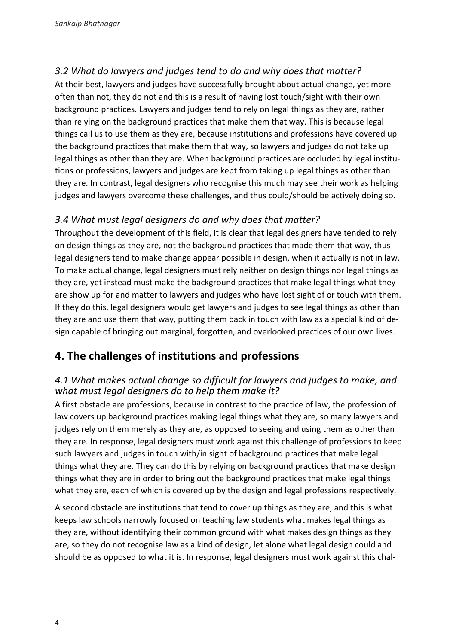#### *3.2 What do lawyers and judges tend to do and why does that matter?*

At their best, lawyers and judges have successfully brought about actual change, yet more often than not, they do not and this is a result of having lost touch/sight with their own background practices. Lawyers and judges tend to rely on legal things as they are, rather than relying on the background practices that make them that way. This is because legal things call us to use them as they are, because institutions and professions have covered up the background practices that make them that way, so lawyers and judges do not take up legal things as other than they are. When background practices are occluded by legal institutions or professions, lawyers and judges are kept from taking up legal things as other than they are. In contrast, legal designers who recognise this much may see their work as helping judges and lawyers overcome these challenges, and thus could/should be actively doing so.

#### *3.4 What must legal designers do and why does that matter?*

Throughout the development of this field, it is clear that legal designers have tended to rely on design things as they are, not the background practices that made them that way, thus legal designers tend to make change appear possible in design, when it actually is not in law. To make actual change, legal designers must rely neither on design things nor legal things as they are, yet instead must make the background practices that make legal things what they are show up for and matter to lawyers and judges who have lost sight of or touch with them. If they do this, legal designers would get lawyers and judges to see legal things as other than they are and use them that way, putting them back in touch with law as a special kind of design capable of bringing out marginal, forgotten, and overlooked practices of our own lives.

# **4. The challenges of institutions and professions**

#### *4.1 What makes actual change so difficult for lawyers and judges to make, and what must legal designers do to help them make it?*

A first obstacle are professions, because in contrast to the practice of law, the profession of law covers up background practices making legal things what they are, so many lawyers and judges rely on them merely as they are, as opposed to seeing and using them as other than they are. In response, legal designers must work against this challenge of professions to keep such lawyers and judges in touch with/in sight of background practices that make legal things what they are. They can do this by relying on background practices that make design things what they are in order to bring out the background practices that make legal things what they are, each of which is covered up by the design and legal professions respectively.

A second obstacle are institutions that tend to cover up things as they are, and this is what keeps law schools narrowly focused on teaching law students what makes legal things as they are, without identifying their common ground with what makes design things as they are, so they do not recognise law as a kind of design, let alone what legal design could and should be as opposed to what it is. In response, legal designers must work against this chal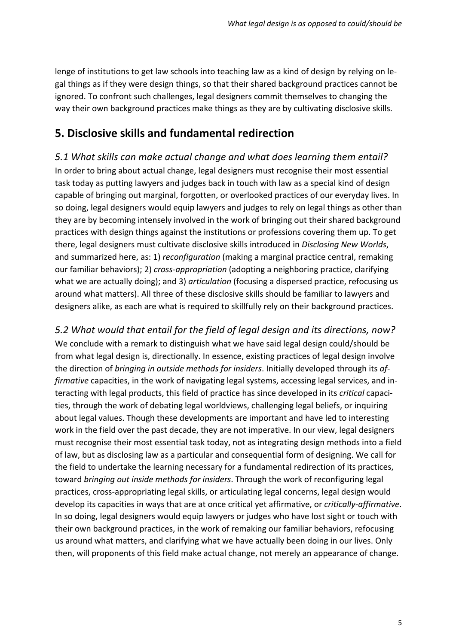lenge of institutions to get law schools into teaching law as a kind of design by relying on legal things as if they were design things, so that their shared background practices cannot be ignored. To confront such challenges, legal designers commit themselves to changing the way their own background practices make things as they are by cultivating disclosive skills.

# **5. Disclosive skills and fundamental redirection**

*5.1 What skills can make actual change and what does learning them entail?* In order to bring about actual change, legal designers must recognise their most essential task today as putting lawyers and judges back in touch with law as a special kind of design capable of bringing out marginal, forgotten, or overlooked practices of our everyday lives. In so doing, legal designers would equip lawyers and judges to rely on legal things as other than they are by becoming intensely involved in the work of bringing out their shared background practices with design things against the institutions or professions covering them up. To get there, legal designers must cultivate disclosive skills introduced in *Disclosing New Worlds*, and summarized here, as: 1) *reconfiguration* (making a marginal practice central, remaking our familiar behaviors); 2) *cross-appropriation* (adopting a neighboring practice, clarifying what we are actually doing); and 3) *articulation* (focusing a dispersed practice, refocusing us around what matters). All three of these disclosive skills should be familiar to lawyers and designers alike, as each are what is required to skillfully rely on their background practices.

*5.2 What would that entail for the field of legal design and its directions, now?* We conclude with a remark to distinguish what we have said legal design could/should be from what legal design is, directionally. In essence, existing practices of legal design involve the direction of *bringing in outside methods for insiders*. Initially developed through its *affirmative* capacities, in the work of navigating legal systems, accessing legal services, and interacting with legal products, this field of practice has since developed in its *critical* capacities, through the work of debating legal worldviews, challenging legal beliefs, or inquiring about legal values. Though these developments are important and have led to interesting work in the field over the past decade, they are not imperative. In our view, legal designers must recognise their most essential task today, not as integrating design methods into a field of law, but as disclosing law as a particular and consequential form of designing. We call for the field to undertake the learning necessary for a fundamental redirection of its practices, toward *bringing out inside methods for insiders*. Through the work of reconfiguring legal practices, cross-appropriating legal skills, or articulating legal concerns, legal design would develop its capacities in ways that are at once critical yet affirmative, or *critically-affirmative*. In so doing, legal designers would equip lawyers or judges who have lost sight or touch with their own background practices, in the work of remaking our familiar behaviors, refocusing us around what matters, and clarifying what we have actually been doing in our lives. Only then, will proponents of this field make actual change, not merely an appearance of change.